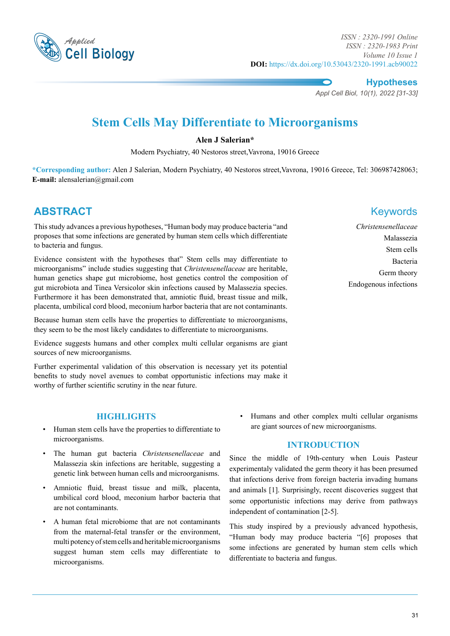

**Hypotheses**

*Appl Cell Biol, 10(1), 2022 [31-33]*

# **Stem Cells May Differentiate to Microorganisms**

#### **Alen J Salerian\***

Modern Psychiatry, 40 Nestoros street,Vavrona, 19016 Greece

**\*Corresponding author:** Alen J Salerian, Modern Psychiatry, 40 Nestoros street,Vavrona, 19016 Greece, Tel: 306987428063; **E-mail:** alensalerian@gmail.com

## **ABSTRACT** Keywords

This study advances a previous hypotheses, "Human body may produce bacteria "and proposes that some infections are generated by human stem cells which differentiate to bacteria and fungus.

Evidence consistent with the hypotheses that" Stem cells may differentiate to microorganisms" include studies suggesting that *Christensenellaceae* are heritable, human genetics shape gut microbiome, host genetics control the composition of gut microbiota and Tinea Versicolor skin infections caused by Malassezia species. Furthermore it has been demonstrated that, amniotic fluid, breast tissue and milk, placenta, umbilical cord blood, meconium harbor bacteria that are not contaminants.

Because human stem cells have the properties to differentiate to microorganisms, they seem to be the most likely candidates to differentiate to microorganisms.

Evidence suggests humans and other complex multi cellular organisms are giant sources of new microorganisms.

Further experimental validation of this observation is necessary yet its potential benefits to study novel avenues to combat opportunistic infections may make it worthy of further scientific scrutiny in the near future.

*Christensenellaceae* Malassezia Stem cells Bacteria Germ theory Endogenous infections

#### **Highlights**

- Human stem cells have the properties to differentiate to microorganisms.
- The human gut bacteria *Christensenellaceae* and Malassezia skin infections are heritable, suggesting a genetic link between human cells and microorganisms.
- Amniotic fluid, breast tissue and milk, placenta, umbilical cord blood, meconium harbor bacteria that are not contaminants.
- A human fetal microbiome that are not contaminants from the maternal-fetal transfer or the environment, multi potency of stem cells and heritable microorganisms suggest human stem cells may differentiate to microorganisms.

• Humans and other complex multi cellular organisms are giant sources of new microorganisms.

#### **Introduction**

Since the middle of 19th-century when Louis Pasteur experimentaly validated the germ theory it has been presumed that infections derive from foreign bacteria invading humans and animals [1]. Surprisingly, recent discoveries suggest that some opportunistic infections may derive from pathways independent of contamination [2-5].

This study inspired by a previously advanced hypothesis, "Human body may produce bacteria "[6] proposes that some infections are generated by human stem cells which differentiate to bacteria and fungus.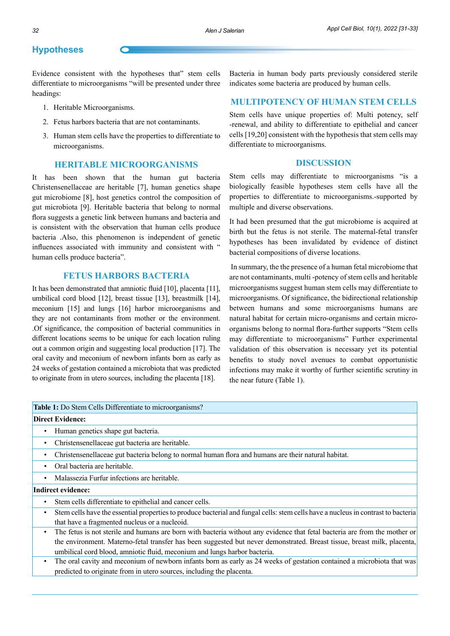### **Hypotheses**

Evidence consistent with the hypotheses that" stem cells differentiate to microorganisms "will be presented under three headings:

- 1. Heritable Microorganisms.
- 2. Fetus harbors bacteria that are not contaminants.
- 3. Human stem cells have the properties to differentiate to microorganisms.

#### **Heritable Microorganisms**

It has been shown that the human gut bacteria Christensenellaceae are heritable [7], human genetics shape gut microbiome [8], host genetics control the composition of gut microbiota [9]. Heritable bacteria that belong to normal flora suggests a genetic link between humans and bacteria and is consistent with the observation that human cells produce bacteria .Also, this phenomenon is independent of genetic influences associated with immunity and consistent with " human cells produce bacteria".

#### **Fetus Harbors Bacteria**

It has been demonstrated that amniotic fluid [10], placenta [11], umbilical cord blood [12], breast tissue [13], breastmilk [14], meconium [15] and lungs [16] harbor microorganisms and they are not contaminants from mother or the environment. .Of significance, the composition of bacterial communities in different locations seems to be unique for each location ruling out a common origin and suggesting local production [17]. The oral cavity and meconium of newborn infants born as early as 24 weeks of gestation contained a microbiota that was predicted to originate from in utero sources, including the placenta [18].

Bacteria in human body parts previously considered sterile indicates some bacteria are produced by human cells.

#### **Multipotency of Human Stem Cells**

Stem cells have unique properties of: Multi potency, self -renewal, and ability to differentiate to epithelial and cancer cells [19,20] consistent with the hypothesis that stem cells may differentiate to microorganisms.

#### **Discussion**

Stem cells may differentiate to microorganisms "is a biologically feasible hypotheses stem cells have all the properties to differentiate to microorganisms.-supported by multiple and diverse observations.

It had been presumed that the gut microbiome is acquired at birth but the fetus is not sterile. The maternal-fetal transfer hypotheses has been invalidated by evidence of distinct bacterial compositions of diverse locations.

 In summary, the the presence of a human fetal microbiome that are not contaminants, multi -potency of stem cells and heritable microorganisms suggest human stem cells may differentiate to microorganisms. Of significance, the bidirectional relationship between humans and some microorganisms humans are natural habitat for certain micro-organisms and certain microorganisms belong to normal flora-further supports "Stem cells may differentiate to microorganisms" Further experimental validation of this observation is necessary yet its potential benefits to study novel avenues to combat opportunistic infections may make it worthy of further scientific scrutiny in the near future (Table 1).

#### **Table 1:** Do Stem Cells Differentiate to microorganisms?

#### **Direct Evidence:**

- Human genetics shape gut bacteria.
- Christensenellaceae gut bacteria are heritable.
- Christensenellaceae gut bacteria belong to normal human flora and humans are their natural habitat.
- Oral bacteria are heritable.
- Malassezia Furfur infections are heritable.

#### **Indirect evidence:**

- Stem cells differentiate to epithelial and cancer cells.
- Stem cells have the essential properties to produce bacterial and fungal cells: stem cells have a nucleus in contrast to bacteria that have a fragmented nucleus or a nucleoid.
- The fetus is not sterile and humans are born with bacteria without any evidence that fetal bacteria are from the mother or the environment. Materno-fetal transfer has been suggested but never demonstrated. Breast tissue, breast milk, placenta, umbilical cord blood, amniotic fluid, meconium and lungs harbor bacteria.
- The oral cavity and meconium of newborn infants born as early as 24 weeks of gestation contained a microbiota that was predicted to originate from in utero sources, including the placenta.